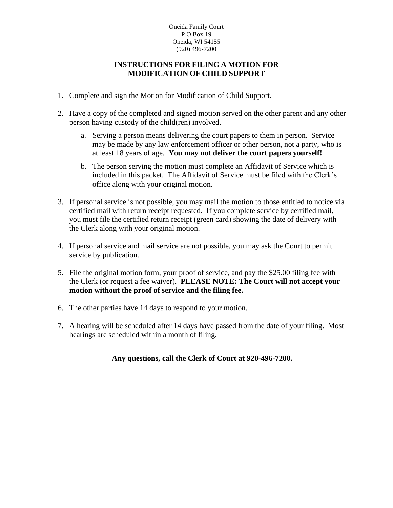### Oneida Family Court PO Box 19 Oneida, WI 54155 (920) 496-7200

### **INSTRUCTIONS FOR FILING A MOTION FOR MODIFICATION OF CHILD SUPPORT**

- 1. Complete and sign the Motion for Modification of Child Support.
- 2. Have a copy of the completed and signed motion served on the other parent and any other person having custody of the child(ren) involved.
	- a. Serving a person means delivering the court papers to them in person. Service may be made by any law enforcement officer or other person, not a party, who is at least 18 years of age. **You may not deliver the court papers yourself!**
	- b. The person serving the motion must complete an Affidavit of Service which is included in this packet. The Affidavit of Service must be filed with the Clerk's office along with your original motion.
- 3. If personal service is not possible, you may mail the motion to those entitled to notice via certified mail with return receipt requested. If you complete service by certified mail, you must file the certified return receipt (green card) showing the date of delivery with the Clerk along with your original motion.
- 4. If personal service and mail service are not possible, you may ask the Court to permit service by publication.
- 5. File the original motion form, your proof of service, and pay the \$25.00 filing fee with the Clerk (or request a fee waiver). **PLEASE NOTE: The Court will not accept your motion without the proof of service and the filing fee.**
- 6. The other parties have 14 days to respond to your motion.
- 7. A hearing will be scheduled after 14 days have passed from the date of your filing. Most hearings are scheduled within a month of filing.

### **Any questions, call the Clerk of Court at 920-496-7200.**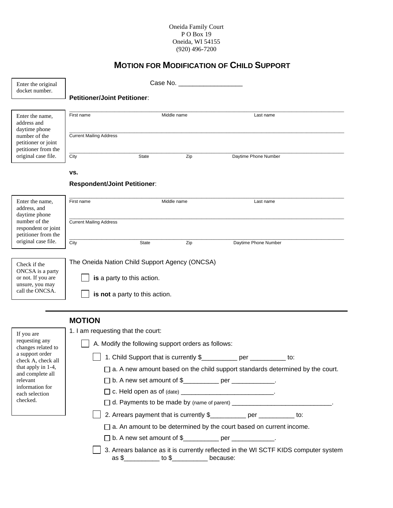### Oneida Family Court P O Box 19 Oneida, WI 54155 (920) 496-7200

## **MOTION FOR MODIFICATION OF CHILD SUPPORT**

| Enter the original                                                                                                                     | Case No. <b>Example 20</b>                                                                                                                                                                                                                                                     |                                |                                                                                     |  |  |  |
|----------------------------------------------------------------------------------------------------------------------------------------|--------------------------------------------------------------------------------------------------------------------------------------------------------------------------------------------------------------------------------------------------------------------------------|--------------------------------|-------------------------------------------------------------------------------------|--|--|--|
| docket number.                                                                                                                         | <b>Petitioner/Joint Petitioner:</b>                                                                                                                                                                                                                                            |                                |                                                                                     |  |  |  |
|                                                                                                                                        |                                                                                                                                                                                                                                                                                |                                |                                                                                     |  |  |  |
| Enter the name,<br>address and<br>daytime phone<br>number of the<br>petitioner or joint                                                | First name                                                                                                                                                                                                                                                                     | Middle name                    | Last name                                                                           |  |  |  |
|                                                                                                                                        | <b>Current Mailing Address</b>                                                                                                                                                                                                                                                 |                                |                                                                                     |  |  |  |
| petitioner from the<br>original case file.                                                                                             | City<br><b>State</b>                                                                                                                                                                                                                                                           | Zip                            | Daytime Phone Number                                                                |  |  |  |
|                                                                                                                                        | VS.                                                                                                                                                                                                                                                                            |                                |                                                                                     |  |  |  |
|                                                                                                                                        | <b>Respondent/Joint Petitioner:</b>                                                                                                                                                                                                                                            |                                |                                                                                     |  |  |  |
| Enter the name,<br>address, and<br>daytime phone<br>number of the<br>respondent or joint<br>petitioner from the<br>original case file. | First name<br>Middle name                                                                                                                                                                                                                                                      |                                | Last name                                                                           |  |  |  |
|                                                                                                                                        | <b>Current Mailing Address</b>                                                                                                                                                                                                                                                 |                                |                                                                                     |  |  |  |
|                                                                                                                                        | City<br>State                                                                                                                                                                                                                                                                  | Zip                            | Daytime Phone Number                                                                |  |  |  |
| Check if the<br>ONCSA is a party<br>or not. If you are<br>unsure, you may<br>call the ONCSA.                                           | The Oneida Nation Child Support Agency (ONCSA)<br>is a party to this action.<br>is not a party to this action.                                                                                                                                                                 |                                |                                                                                     |  |  |  |
|                                                                                                                                        | <b>MOTION</b>                                                                                                                                                                                                                                                                  |                                |                                                                                     |  |  |  |
| If you are                                                                                                                             | 1. I am requesting that the court:                                                                                                                                                                                                                                             |                                |                                                                                     |  |  |  |
| requesting any<br>changes related to                                                                                                   | A. Modify the following support orders as follows:                                                                                                                                                                                                                             |                                |                                                                                     |  |  |  |
| a support order<br>check A, check all                                                                                                  | 1. Child Support that is currently \$<br>per the control of the control of the control of the control of the control of the control of the control of the control of the control of the control of the control of the control of the control of the control of the cont<br>to: |                                |                                                                                     |  |  |  |
| that apply in 1-4,<br>and complete all                                                                                                 | $\Box$ a. A new amount based on the child support standards determined by the court.                                                                                                                                                                                           |                                |                                                                                     |  |  |  |
| relevant<br>information for                                                                                                            | D b. A new set amount of \$___________ per ___________.                                                                                                                                                                                                                        |                                |                                                                                     |  |  |  |
| each selection                                                                                                                         |                                                                                                                                                                                                                                                                                |                                |                                                                                     |  |  |  |
| checked.                                                                                                                               | □ d. Payments to be made by (name of parent) __________________________________                                                                                                                                                                                                |                                |                                                                                     |  |  |  |
|                                                                                                                                        |                                                                                                                                                                                                                                                                                |                                | 2. Arrears payment that is currently \$                                             |  |  |  |
|                                                                                                                                        |                                                                                                                                                                                                                                                                                |                                | $\Box$ a. An amount to be determined by the court based on current income.          |  |  |  |
|                                                                                                                                        |                                                                                                                                                                                                                                                                                |                                | □ b. A new set amount of \$___________ per ___________.                             |  |  |  |
|                                                                                                                                        |                                                                                                                                                                                                                                                                                | $as $ 100$ to $$ 100$ because: | 3. Arrears balance as it is currently reflected in the WI SCTF KIDS computer system |  |  |  |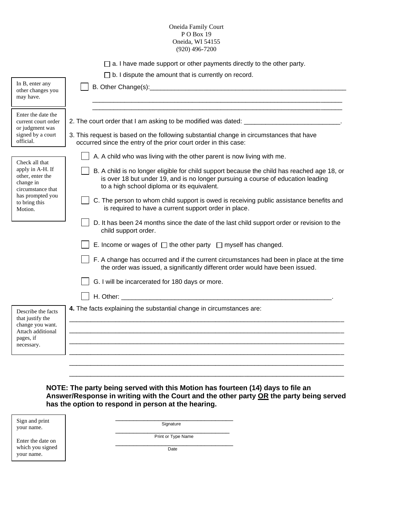#### Oneida Family Court P O Box 19 Oneida, WI 54155 (920) 496-7200

| $\Box$ a. I have made support or other payments directly to the other party. |  |  |
|------------------------------------------------------------------------------|--|--|
|                                                                              |  |  |

□ b. I dispute the amount that is currently on record.

 $\overline{\mathbf{u}}$ 

Г

| In B, enter any<br>other changes you<br>may have.                                                                      |                                                                                                                                                                                                                                |
|------------------------------------------------------------------------------------------------------------------------|--------------------------------------------------------------------------------------------------------------------------------------------------------------------------------------------------------------------------------|
| Enter the date the<br>current court order<br>or judgment was                                                           | 2. The court order that I am asking to be modified was dated: ___________________                                                                                                                                              |
| signed by a court<br>official.                                                                                         | 3. This request is based on the following substantial change in circumstances that have<br>occurred since the entry of the prior court order in this case:                                                                     |
| Check all that                                                                                                         | A. A child who was living with the other parent is now living with me.                                                                                                                                                         |
| apply in A-H. If<br>other, enter the<br>change in<br>circumstance that<br>has prompted you<br>to bring this<br>Motion. | B. A child is no longer eligible for child support because the child has reached age 18, or<br>is over 18 but under 19, and is no longer pursuing a course of education leading<br>to a high school diploma or its equivalent. |
|                                                                                                                        | C. The person to whom child support is owed is receiving public assistance benefits and<br>is required to have a current support order in place.                                                                               |
|                                                                                                                        | D. It has been 24 months since the date of the last child support order or revision to the<br>child support order.                                                                                                             |
|                                                                                                                        | E. Income or wages of $\Box$ the other party $\Box$ myself has changed.                                                                                                                                                        |
|                                                                                                                        | F. A change has occurred and if the current circumstances had been in place at the time<br>the order was issued, a significantly different order would have been issued.                                                       |
|                                                                                                                        | G. I will be incarcerated for 180 days or more.                                                                                                                                                                                |
|                                                                                                                        |                                                                                                                                                                                                                                |
| Describe the facts<br>that justify the<br>change you want.<br>Attach additional<br>pages, if<br>necessary.             | 4. The facts explaining the substantial change in circumstances are:                                                                                                                                                           |
|                                                                                                                        |                                                                                                                                                                                                                                |
|                                                                                                                        |                                                                                                                                                                                                                                |

**NOTE: The party being served with this Motion has fourteen (14) days to file an Answer/Response in writing with the Court and the other party OR the party being served has the option to respond in person at the hearing.**

\_\_\_\_\_\_\_\_\_\_\_\_\_\_\_\_\_\_\_\_\_\_\_\_\_\_\_\_\_\_\_\_\_\_\_\_\_\_\_\_\_\_\_\_\_\_\_\_\_\_\_\_\_\_\_\_\_\_\_\_\_\_\_\_\_\_\_\_\_\_\_\_\_\_\_\_\_

| Sign and print<br>your name.   | Signature          |
|--------------------------------|--------------------|
| Enter the date on              | Print or Type Name |
| which you signed<br>your name. | Date               |